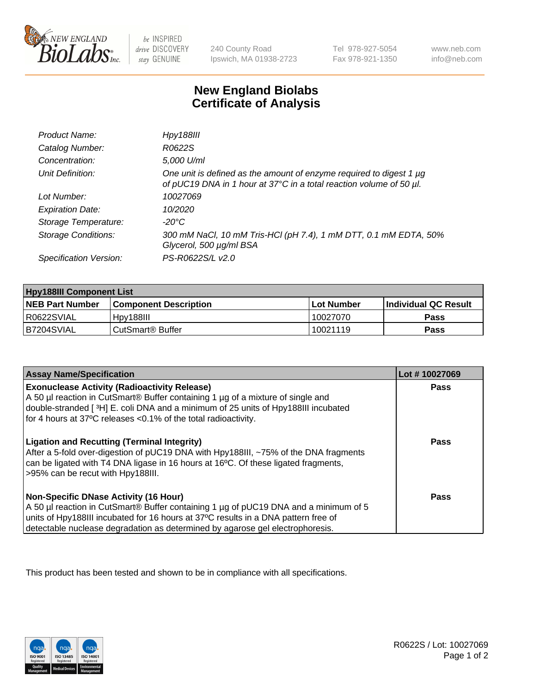

 $be$  INSPIRED drive DISCOVERY stay GENUINE

240 County Road Ipswich, MA 01938-2723 Tel 978-927-5054 Fax 978-921-1350 www.neb.com info@neb.com

## **New England Biolabs Certificate of Analysis**

| Product Name:              | Hpy188III                                                                                                                                  |
|----------------------------|--------------------------------------------------------------------------------------------------------------------------------------------|
| Catalog Number:            | R0622S                                                                                                                                     |
| Concentration:             | 5,000 U/ml                                                                                                                                 |
| Unit Definition:           | One unit is defined as the amount of enzyme required to digest 1 µg<br>of pUC19 DNA in 1 hour at 37°C in a total reaction volume of 50 µl. |
| Lot Number:                | 10027069                                                                                                                                   |
| <b>Expiration Date:</b>    | 10/2020                                                                                                                                    |
| Storage Temperature:       | -20°C                                                                                                                                      |
| <b>Storage Conditions:</b> | 300 mM NaCl, 10 mM Tris-HCl (pH 7.4), 1 mM DTT, 0.1 mM EDTA, 50%<br>Glycerol, 500 µg/ml BSA                                                |
| Specification Version:     | PS-R0622S/L v2.0                                                                                                                           |

| <b>Hpy188III Component List</b> |                              |            |                             |  |
|---------------------------------|------------------------------|------------|-----------------------------|--|
| <b>NEB Part Number</b>          | l Component Description      | Lot Number | <b>Individual QC Result</b> |  |
| I R0622SVIAL                    | Hpv188III                    | 10027070   | Pass                        |  |
| B7204SVIAL                      | CutSmart <sup>®</sup> Buffer | 10021119   | Pass                        |  |

| <b>Assay Name/Specification</b>                                                                                                                                                                                                                                                                             | Lot #10027069 |
|-------------------------------------------------------------------------------------------------------------------------------------------------------------------------------------------------------------------------------------------------------------------------------------------------------------|---------------|
| <b>Exonuclease Activity (Radioactivity Release)</b><br>A 50 µl reaction in CutSmart® Buffer containing 1 µg of a mixture of single and<br>double-stranded [3H] E. coli DNA and a minimum of 25 units of Hpy188III incubated<br>for 4 hours at 37°C releases <0.1% of the total radioactivity.               | Pass          |
| <b>Ligation and Recutting (Terminal Integrity)</b><br>After a 5-fold over-digestion of pUC19 DNA with Hpy188III, ~75% of the DNA fragments<br>can be ligated with T4 DNA ligase in 16 hours at 16°C. Of these ligated fragments,<br>>95% can be recut with Hpy188III.                                       | Pass          |
| <b>Non-Specific DNase Activity (16 Hour)</b><br>A 50 µl reaction in CutSmart® Buffer containing 1 µg of pUC19 DNA and a minimum of 5<br>units of Hpy188III incubated for 16 hours at 37°C results in a DNA pattern free of<br>detectable nuclease degradation as determined by agarose gel electrophoresis. | <b>Pass</b>   |

This product has been tested and shown to be in compliance with all specifications.